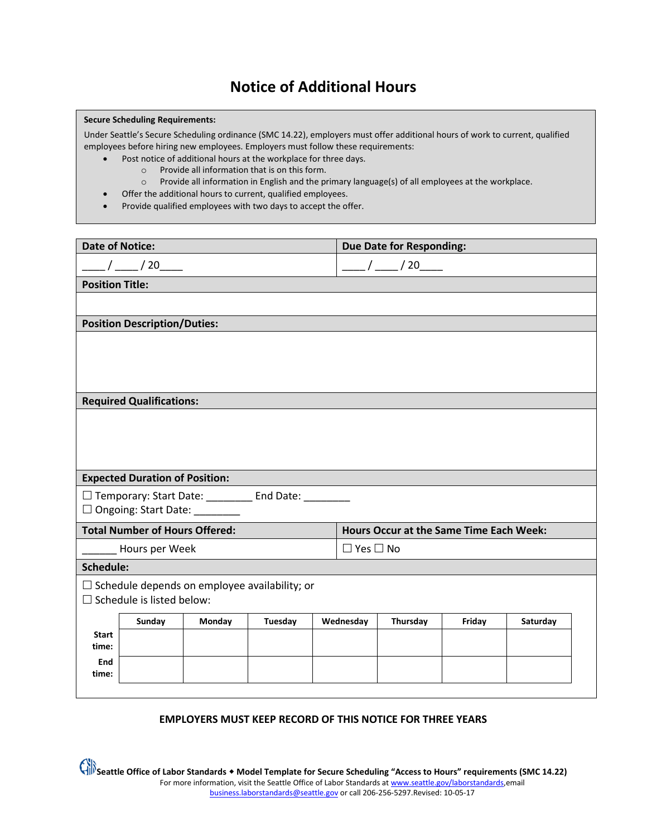# **Notice of Additional Hours**

#### **Secure Scheduling Requirements:**

Under Seattle's Secure Scheduling ordinance (SMC 14.22), employers must offer additional hours of work to current, qualified employees before hiring new employees. Employers must follow these requirements:

- Post notice of additional hours at the workplace for three days.
	- o Provide all information that is on this form.
	- o Provide all information in English and the primary language(s) of all employees at the workplace.
- Offer the additional hours to current, qualified employees.
- Provide qualified employees with two days to accept the offer.

| <b>Date of Notice:</b>                                |                                  |        |         |                                                | <b>Due Date for Responding:</b> |          |        |          |  |  |
|-------------------------------------------------------|----------------------------------|--------|---------|------------------------------------------------|---------------------------------|----------|--------|----------|--|--|
| $\frac{1}{20}$ / 20                                   |                                  |        |         | $\frac{\frac{1}{2}}{20}$ / 20                  |                                 |          |        |          |  |  |
| <b>Position Title:</b>                                |                                  |        |         |                                                |                                 |          |        |          |  |  |
|                                                       |                                  |        |         |                                                |                                 |          |        |          |  |  |
| <b>Position Description/Duties:</b>                   |                                  |        |         |                                                |                                 |          |        |          |  |  |
|                                                       |                                  |        |         |                                                |                                 |          |        |          |  |  |
|                                                       |                                  |        |         |                                                |                                 |          |        |          |  |  |
|                                                       |                                  |        |         |                                                |                                 |          |        |          |  |  |
| <b>Required Qualifications:</b>                       |                                  |        |         |                                                |                                 |          |        |          |  |  |
|                                                       |                                  |        |         |                                                |                                 |          |        |          |  |  |
|                                                       |                                  |        |         |                                                |                                 |          |        |          |  |  |
|                                                       |                                  |        |         |                                                |                                 |          |        |          |  |  |
| <b>Expected Duration of Position:</b>                 |                                  |        |         |                                                |                                 |          |        |          |  |  |
| □ Temporary: Start Date: _________ End Date: ________ |                                  |        |         |                                                |                                 |          |        |          |  |  |
| □ Ongoing: Start Date: _______                        |                                  |        |         |                                                |                                 |          |        |          |  |  |
| <b>Total Number of Hours Offered:</b>                 |                                  |        |         | <b>Hours Occur at the Same Time Each Week:</b> |                                 |          |        |          |  |  |
| Hours per Week                                        |                                  |        |         |                                                | $\Box$ Yes $\Box$ No            |          |        |          |  |  |
| Schedule:                                             |                                  |        |         |                                                |                                 |          |        |          |  |  |
| $\Box$ Schedule depends on employee availability; or  |                                  |        |         |                                                |                                 |          |        |          |  |  |
|                                                       | $\Box$ Schedule is listed below: |        |         |                                                |                                 |          |        |          |  |  |
| <b>Start</b>                                          | Sunday                           | Monday | Tuesday |                                                | Wednesday                       | Thursday | Friday | Saturday |  |  |
| time:                                                 |                                  |        |         |                                                |                                 |          |        |          |  |  |
| End                                                   |                                  |        |         |                                                |                                 |          |        |          |  |  |
| time:                                                 |                                  |        |         |                                                |                                 |          |        |          |  |  |
|                                                       |                                  |        |         |                                                |                                 |          |        |          |  |  |

## **EMPLOYERS MUST KEEP RECORD OF THIS NOTICE FOR THREE YEARS**

Seattle Office of Labor Standards • Model Template for Secure Scheduling "Access to Hours" requirements (SMC 14.22) For more information, visit the Seattle Office of Labor Standards at [www.seattle.gov/laborstandards,e](http://www.seattle.gov/laborstandards)mail [business.laborstandards@seattle.gov](mailto:business.laborstandards@seattle.gov) or call 206-256-5297.Revised: 10-05-17